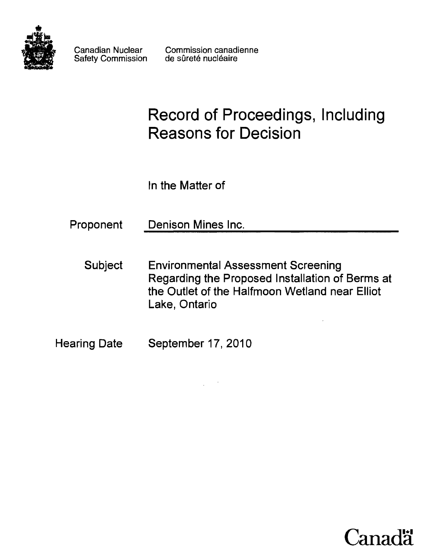

Safety Commission

Canadian Nuclear Commission canadienne<br>Safety Commission de sûreté nucléaire

# **Record of Proceedings, Including Reasons for Decision**

ln the Matter of

| Proponent | Denison Mines Inc. |  |
|-----------|--------------------|--|
|           |                    |  |

- Subject Environmental Assessment Screening Regarding the Proposed Installation of Berms at the Outlet of the Halfmoon Wetland near Elliot Lake, Ontario
- Hearing Date September 17, 2010

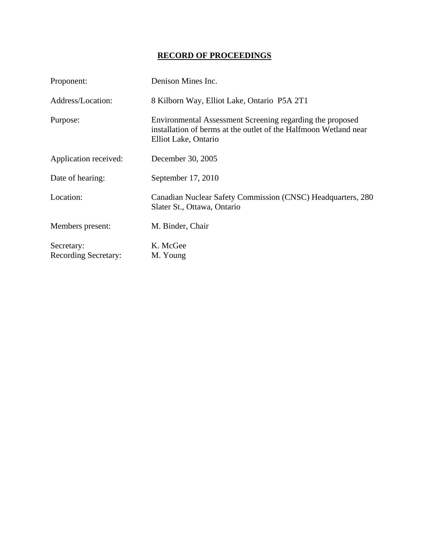## **RECORD OF PROCEEDINGS**

| Proponent:                  | Denison Mines Inc.                                                                                                                                    |
|-----------------------------|-------------------------------------------------------------------------------------------------------------------------------------------------------|
| Address/Location:           | 8 Kilborn Way, Elliot Lake, Ontario P5A 2T1                                                                                                           |
| Purpose:                    | Environmental Assessment Screening regarding the proposed<br>installation of berms at the outlet of the Halfmoon Wetland near<br>Elliot Lake, Ontario |
| Application received:       | December 30, 2005                                                                                                                                     |
| Date of hearing:            | September 17, 2010                                                                                                                                    |
| Location:                   | Canadian Nuclear Safety Commission (CNSC) Headquarters, 280<br>Slater St., Ottawa, Ontario                                                            |
| Members present:            | M. Binder, Chair                                                                                                                                      |
| Secretary:                  | K. McGee                                                                                                                                              |
| <b>Recording Secretary:</b> | M. Young                                                                                                                                              |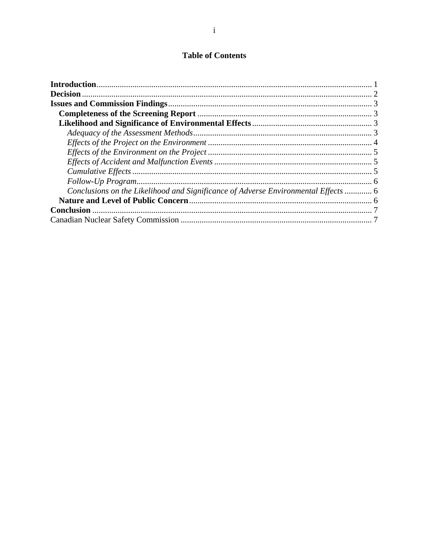## **Table of Contents**

| Conclusions on the Likelihood and Significance of Adverse Environmental Effects  6 |  |
|------------------------------------------------------------------------------------|--|
|                                                                                    |  |
|                                                                                    |  |
|                                                                                    |  |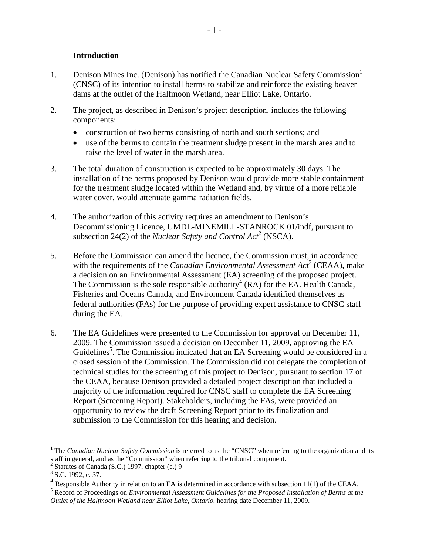#### **Introduction**

- 1. Denison Mines Inc. (Denison) has notified the Canadian Nuclear Safety Commission (CNSC) of its intention to install berms to stabilize and reinforce the existing beaver dams at the outlet of the Halfmoon Wetland, near Elliot Lake, Ontario.
- 2. The project, as described in Denison's project description, includes the following components:
	- construction of two berms consisting of north and south sections; and
	- use of the berms to contain the treatment sludge present in the marsh area and to raise the level of water in the marsh area.
- 3. The total duration of construction is expected to be approximately 30 days. The installation of the berms proposed by Denison would provide more stable containment for the treatment sludge located within the Wetland and, by virtue of a more reliable water cover, would attenuate gamma radiation fields.
- 4. The authorization of this activity requires an amendment to Denison's Decommissioning Licence, UMDL-MINEMILL-STANROCK.01/indf, pursuant to subsection 24(2) of the *Nuclear Safety and Control Act*<sup>2</sup> (NSCA).
- 5. Before the Commission can amend the licence, the Commission must, in accordance with the requirements of the *Canadian Environmental Assessment Act*<sup>3</sup> (CEAA), make a decision on an Environmental Assessment (EA) screening of the proposed project. The Commission is the sole responsible authority<sup>4</sup> (RA) for the EA. Health Canada, Fisheries and Oceans Canada, and Environment Canada identified themselves as federal authorities (FAs) for the purpose of providing expert assistance to CNSC staff during the EA.
- 6. The EA Guidelines were presented to the Commission for approval on December 11, 2009. The Commission issued a decision on December 11, 2009, approving the EA Guidelines<sup>5</sup>. The Commission indicated that an EA Screening would be considered in a closed session of the Commission. The Commission did not delegate the completion of technical studies for the screening of this project to Denison, pursuant to section 17 of the CEAA, because Denison provided a detailed project description that included a majority of the information required for CNSC staff to complete the EA Screening Report (Screening Report). Stakeholders, including the FAs, were provided an opportunity to review the draft Screening Report prior to its finalization and submission to the Commission for this hearing and decision.

 $\overline{a}$ 

<sup>&</sup>lt;sup>1</sup> The *Canadian Nuclear Safety Commission* is referred to as the "CNSC" when referring to the organization and its staff in general, and as the "Commission" when referring to the tribunal component.

<sup>2</sup> Statutes of Canada (S.C.) 1997, chapter (c.) 9

 $3$  S.C. 1992, c. 37.

<sup>&</sup>lt;sup>4</sup> Responsible Authority in relation to an EA is determined in accordance with subsection 11(1) of the CEAA.

Record of Proceedings on *Environmental Assessment Guidelines for the Proposed Installation of Berms at the Outlet of the Halfmoon Wetland near Elliot Lake, Ontario*, hearing date December 11, 2009.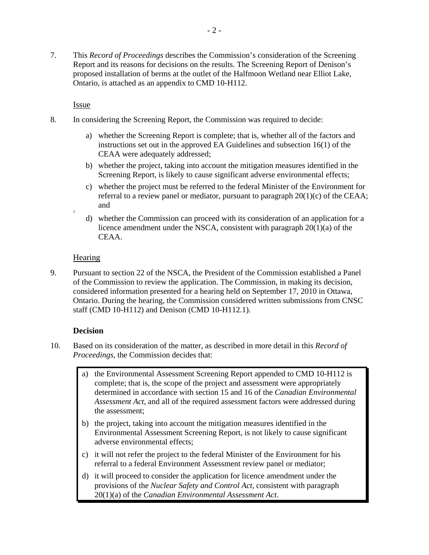7. This *Record of Proceedings* describes the Commission's consideration of the Screening Report and its reasons for decisions on the results. The Screening Report of Denison's proposed installation of berms at the outlet of the Halfmoon Wetland near Elliot Lake, Ontario, is attached as an appendix to CMD 10-H112.

Issue

- 8. In considering the Screening Report, the Commission was required to decide:
	- a) whether the Screening Report is complete; that is, whether all of the factors and instructions set out in the approved EA Guidelines and subsection 16(1) of the CEAA were adequately addressed;
	- b) whether the project, taking into account the mitigation measures identified in the Screening Report, is likely to cause significant adverse environmental effects;
	- c) whether the project must be referred to the federal Minister of the Environment for referral to a review panel or mediator, pursuant to paragraph  $20(1)(c)$  of the CEAA; and
	- d) whether the Commission can proceed with its consideration of an application for a licence amendment under the NSCA, consistent with paragraph 20(1)(a) of the CEAA.

#### **Hearing**

9. Pursuant to section 22 of the NSCA, the President of the Commission established a Panel of the Commission to review the application. The Commission, in making its decision, considered information presented for a hearing held on September 17, 2010 in Ottawa, Ontario. During the hearing, the Commission considered written submissions from CNSC staff (CMD 10-H112) and Denison (CMD 10-H112.1).

#### **Decision**

- 10. Based on its consideration of the matter, as described in more detail in this *Record of Proceedings,* the Commission decides that:
	- a) the Environmental Assessment Screening Report appended to CMD 10-H112 is complete; that is, the scope of the project and assessment were appropriately determined in accordance with section 15 and 16 of the *Canadian Environmental Assessment Act*, and all of the required assessment factors were addressed during the assessment;
	- b) the project, taking into account the mitigation measures identified in the Environmental Assessment Screening Report, is not likely to cause significant adverse environmental effects;
	- c) it will not refer the project to the federal Minister of the Environment for his referral to a federal Environment Assessment review panel or mediator;
	- d) it will proceed to consider the application for licence amendment under the provisions of the *Nuclear Safety and Control Act*, consistent with paragraph 20(1)(a) of the *Canadian Environmental Assessment Act*.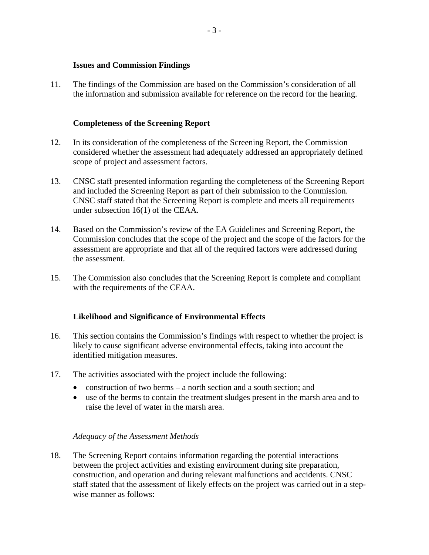#### **Issues and Commission Findings**

11. The findings of the Commission are based on the Commission's consideration of all the information and submission available for reference on the record for the hearing.

#### **Completeness of the Screening Report**

- 12. In its consideration of the completeness of the Screening Report, the Commission considered whether the assessment had adequately addressed an appropriately defined scope of project and assessment factors.
- 13. CNSC staff presented information regarding the completeness of the Screening Report and included the Screening Report as part of their submission to the Commission. CNSC staff stated that the Screening Report is complete and meets all requirements under subsection 16(1) of the CEAA.
- 14. Based on the Commission's review of the EA Guidelines and Screening Report, the Commission concludes that the scope of the project and the scope of the factors for the assessment are appropriate and that all of the required factors were addressed during the assessment.
- 15. The Commission also concludes that the Screening Report is complete and compliant with the requirements of the CEAA.

#### **Likelihood and Significance of Environmental Effects**

- 16. This section contains the Commission's findings with respect to whether the project is likely to cause significant adverse environmental effects, taking into account the identified mitigation measures.
- 17. The activities associated with the project include the following:
	- construction of two berms a north section and a south section; and
	- use of the berms to contain the treatment sludges present in the marsh area and to raise the level of water in the marsh area.

#### *Adequacy of the Assessment Methods*

18. The Screening Report contains information regarding the potential interactions between the project activities and existing environment during site preparation, construction, and operation and during relevant malfunctions and accidents. CNSC staff stated that the assessment of likely effects on the project was carried out in a stepwise manner as follows: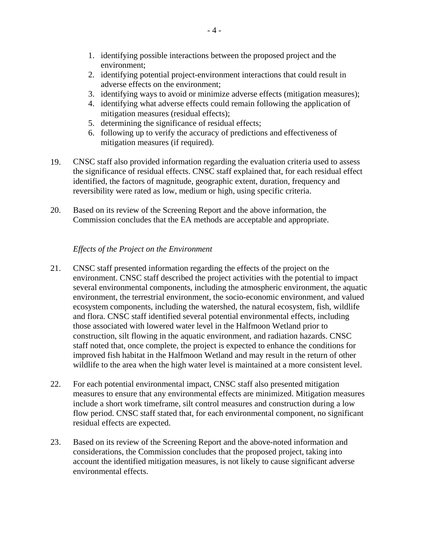- 1. identifying possible interactions between the proposed project and the environment;
- 2. identifying potential project-environment interactions that could result in adverse effects on the environment;
- 3. identifying ways to avoid or minimize adverse effects (mitigation measures);
- 4. identifying what adverse effects could remain following the application of mitigation measures (residual effects);
- 5. determining the significance of residual effects;
- 6. following up to verify the accuracy of predictions and effectiveness of mitigation measures (if required).
- 19. CNSC staff also provided information regarding the evaluation criteria used to assess the significance of residual effects. CNSC staff explained that, for each residual effect identified, the factors of magnitude, geographic extent, duration, frequency and reversibility were rated as low, medium or high, using specific criteria.
- 20. Based on its review of the Screening Report and the above information, the Commission concludes that the EA methods are acceptable and appropriate.

### *Effects of the Project on the Environment*

- 21. CNSC staff presented information regarding the effects of the project on the environment. CNSC staff described the project activities with the potential to impact several environmental components, including the atmospheric environment, the aquatic environment, the terrestrial environment, the socio-economic environment, and valued ecosystem components, including the watershed, the natural ecosystem, fish, wildlife and flora. CNSC staff identified several potential environmental effects, including those associated with lowered water level in the Halfmoon Wetland prior to construction, silt flowing in the aquatic environment, and radiation hazards. CNSC staff noted that, once complete, the project is expected to enhance the conditions for improved fish habitat in the Halfmoon Wetland and may result in the return of other wildlife to the area when the high water level is maintained at a more consistent level.
- 22. For each potential environmental impact, CNSC staff also presented mitigation measures to ensure that any environmental effects are minimized. Mitigation measures include a short work timeframe, silt control measures and construction during a low flow period. CNSC staff stated that, for each environmental component, no significant residual effects are expected.
- 23. Based on its review of the Screening Report and the above-noted information and considerations, the Commission concludes that the proposed project, taking into account the identified mitigation measures, is not likely to cause significant adverse environmental effects.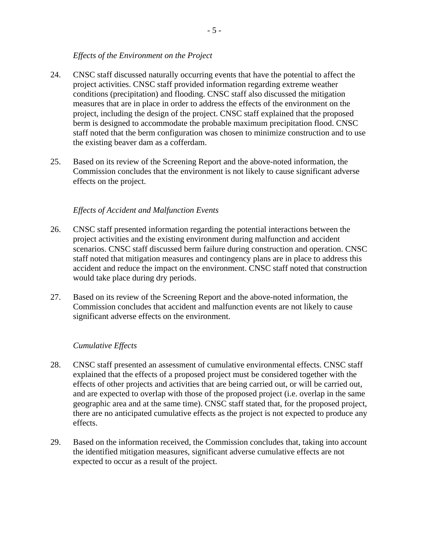#### *Effects of the Environment on the Project*

- 24. CNSC staff discussed naturally occurring events that have the potential to affect the project activities. CNSC staff provided information regarding extreme weather conditions (precipitation) and flooding. CNSC staff also discussed the mitigation measures that are in place in order to address the effects of the environment on the project, including the design of the project. CNSC staff explained that the proposed berm is designed to accommodate the probable maximum precipitation flood. CNSC staff noted that the berm configuration was chosen to minimize construction and to use the existing beaver dam as a cofferdam.
- 25. Based on its review of the Screening Report and the above-noted information, the Commission concludes that the environment is not likely to cause significant adverse effects on the project.

### *Effects of Accident and Malfunction Events*

- 26. CNSC staff presented information regarding the potential interactions between the project activities and the existing environment during malfunction and accident scenarios. CNSC staff discussed berm failure during construction and operation. CNSC staff noted that mitigation measures and contingency plans are in place to address this accident and reduce the impact on the environment. CNSC staff noted that construction would take place during dry periods.
- 27. Based on its review of the Screening Report and the above-noted information, the Commission concludes that accident and malfunction events are not likely to cause significant adverse effects on the environment.

#### *Cumulative Effects*

- 28. CNSC staff presented an assessment of cumulative environmental effects. CNSC staff explained that the effects of a proposed project must be considered together with the effects of other projects and activities that are being carried out, or will be carried out, and are expected to overlap with those of the proposed project (i.e. overlap in the same geographic area and at the same time). CNSC staff stated that, for the proposed project, there are no anticipated cumulative effects as the project is not expected to produce any effects.
- 29. Based on the information received, the Commission concludes that, taking into account the identified mitigation measures, significant adverse cumulative effects are not expected to occur as a result of the project.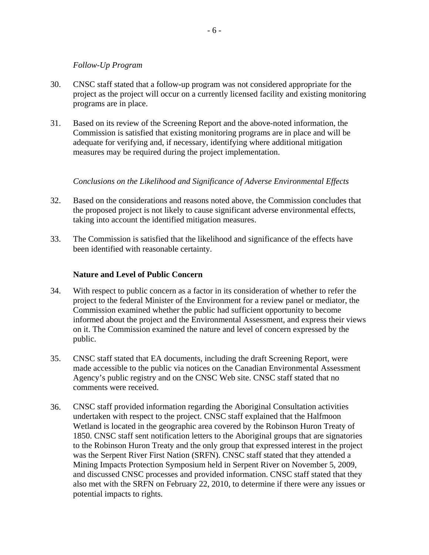#### *Follow-Up Program*

- 30. CNSC staff stated that a follow-up program was not considered appropriate for the project as the project will occur on a currently licensed facility and existing monitoring programs are in place.
- 31. Based on its review of the Screening Report and the above-noted information, the Commission is satisfied that existing monitoring programs are in place and will be adequate for verifying and, if necessary, identifying where additional mitigation measures may be required during the project implementation.

### *Conclusions on the Likelihood and Significance of Adverse Environmental Effects*

- 32. Based on the considerations and reasons noted above, the Commission concludes that the proposed project is not likely to cause significant adverse environmental effects, taking into account the identified mitigation measures.
- 33. The Commission is satisfied that the likelihood and significance of the effects have been identified with reasonable certainty.

#### **Nature and Level of Public Concern**

- 34. With respect to public concern as a factor in its consideration of whether to refer the project to the federal Minister of the Environment for a review panel or mediator, the Commission examined whether the public had sufficient opportunity to become informed about the project and the Environmental Assessment, and express their views on it. The Commission examined the nature and level of concern expressed by the public.
- 35. CNSC staff stated that EA documents, including the draft Screening Report, were made accessible to the public via notices on the Canadian Environmental Assessment Agency's public registry and on the CNSC Web site. CNSC staff stated that no comments were received.
- 36. CNSC staff provided information regarding the Aboriginal Consultation activities undertaken with respect to the project. CNSC staff explained that the Halfmoon Wetland is located in the geographic area covered by the Robinson Huron Treaty of 1850. CNSC staff sent notification letters to the Aboriginal groups that are signatories to the Robinson Huron Treaty and the only group that expressed interest in the project was the Serpent River First Nation (SRFN). CNSC staff stated that they attended a Mining Impacts Protection Symposium held in Serpent River on November 5, 2009, and discussed CNSC processes and provided information. CNSC staff stated that they also met with the SRFN on February 22, 2010, to determine if there were any issues or potential impacts to rights.